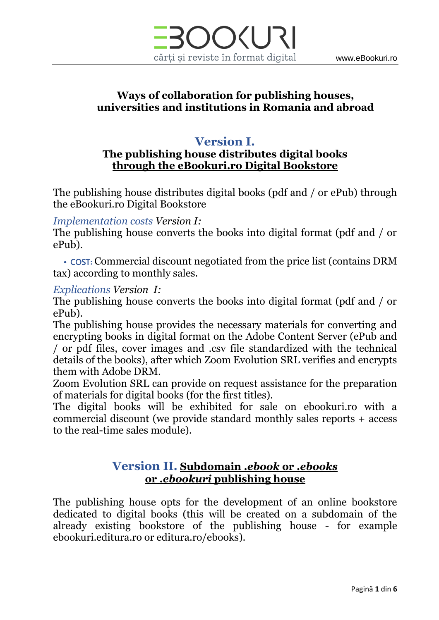

### **Ways of collaboration for publishing houses, universities and institutions in Romania and abroad**

# **Version I.**

### **The publishing house distributes digital books through the eBookuri.ro Digital Bookstore**

The publishing house distributes digital books (pdf and / or ePub) through the eBookuri.ro Digital Bookstore

#### *Implementation costs Version I:*

The publishing house converts the books into digital format (pdf and / or ePub).

• COST**:** Commercial discount negotiated from the price list (contains DRM tax) according to monthly sales.

#### *Explications Version I:*

The publishing house converts the books into digital format (pdf and / or ePub).

The publishing house provides the necessary materials for converting and encrypting books in digital format on the Adobe Content Server (ePub and / or pdf files, cover images and .csv file standardized with the technical details of the books), after which Zoom Evolution SRL verifies and encrypts them with Adobe DRM.

Zoom Evolution SRL can provide on request assistance for the preparation of materials for digital books (for the first titles).

The digital books will be exhibited for sale on ebookuri.ro with a commercial discount (we provide standard monthly sales reports + access to the real-time sales module).

### **Version II. Subdomain** *.ebook* **or** *.ebooks* **or** *.ebookuri* **publishing house**

The publishing house opts for the development of an online bookstore dedicated to digital books (this will be created on a subdomain of the already existing bookstore of the publishing house - for example ebookuri.editura.ro or editura.ro/ebooks).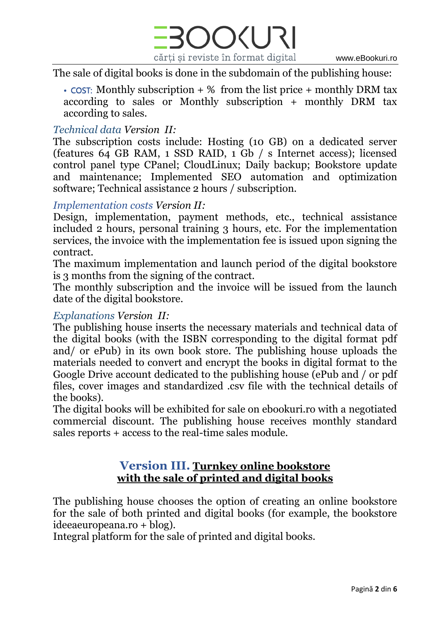

The sale of digital books is done in the subdomain of the publishing house:

• COST: Monthly subscription  $+$  % from the list price  $+$  monthly DRM tax according to sales or Monthly subscription + monthly DRM tax according to sales.

#### *Technical data Version II:*

The subscription costs include: Hosting (10 GB) on a dedicated server (features 64 GB RAM, 1 SSD RAID, 1 Gb / s Internet access); licensed control panel type CPanel; CloudLinux; Daily backup; Bookstore update and maintenance; Implemented SEO automation and optimization software; Technical assistance 2 hours / subscription.

#### *Implementation costs Version II:*

Design, implementation, payment methods, etc., technical assistance included 2 hours, personal training 3 hours, etc. For the implementation services, the invoice with the implementation fee is issued upon signing the contract.

The maximum implementation and launch period of the digital bookstore is 3 months from the signing of the contract.

The monthly subscription and the invoice will be issued from the launch date of the digital bookstore.

### *Explanations Version II:*

The publishing house inserts the necessary materials and technical data of the digital books (with the ISBN corresponding to the digital format pdf and/ or ePub) in its own book store. The publishing house uploads the materials needed to convert and encrypt the books in digital format to the Google Drive account dedicated to the publishing house (ePub and / or pdf files, cover images and standardized .csv file with the technical details of the books).

The digital books will be exhibited for sale on ebookuri.ro with a negotiated commercial discount. The publishing house receives monthly standard sales reports + access to the real-time sales module.

### **Version III. Turnkey online bookstore with the sale of printed and digital books**

The publishing house chooses the option of creating an online bookstore for the sale of both printed and digital books (for example, the bookstore ideeaeuropeana.ro + blog).

Integral platform for the sale of printed and digital books.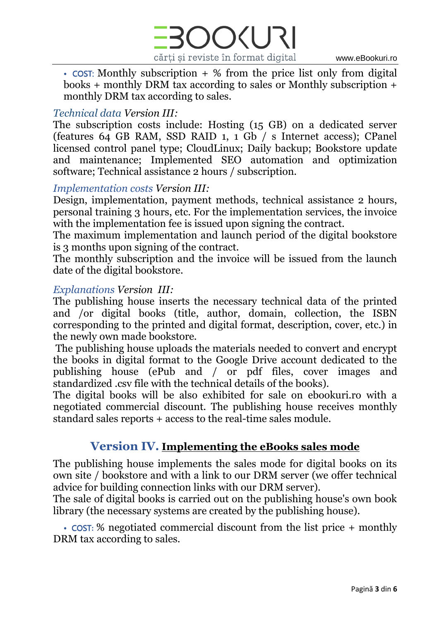

• COST: Monthly subscription  $+$  % from the price list only from digital books + monthly DRM tax according to sales or Monthly subscription + monthly DRM tax according to sales.

### *Technical data Version III:*

The subscription costs include: Hosting (15 GB) on a dedicated server (features 64 GB RAM, SSD RAID 1, 1 Gb / s Internet access); CPanel licensed control panel type; CloudLinux; Daily backup; Bookstore update and maintenance; Implemented SEO automation and optimization software; Technical assistance 2 hours / subscription.

### *Implementation costs Version III:*

Design, implementation, payment methods, technical assistance 2 hours, personal training 3 hours, etc. For the implementation services, the invoice with the implementation fee is issued upon signing the contract.

The maximum implementation and launch period of the digital bookstore is 3 months upon signing of the contract.

The monthly subscription and the invoice will be issued from the launch date of the digital bookstore.

#### *Explanations Version III:*

The publishing house inserts the necessary technical data of the printed and /or digital books (title, author, domain, collection, the ISBN corresponding to the printed and digital format, description, cover, etc.) in the newly own made bookstore.

The publishing house uploads the materials needed to convert and encrypt the books in digital format to the Google Drive account dedicated to the publishing house (ePub and / or pdf files, cover images and standardized .csv file with the technical details of the books).

The digital books will be also exhibited for sale on ebookuri.ro with a negotiated commercial discount. The publishing house receives monthly standard sales reports + access to the real-time sales module.

### **Version IV. Implementing the eBooks sales mode**

The publishing house implements the sales mode for digital books on its own site / bookstore and with a link to our DRM server (we offer technical advice for building connection links with our DRM server).

The sale of digital books is carried out on the publishing house's own book library (the necessary systems are created by the publishing house).

• COST**:** % negotiated commercial discount from the list price + monthly DRM tax according to sales.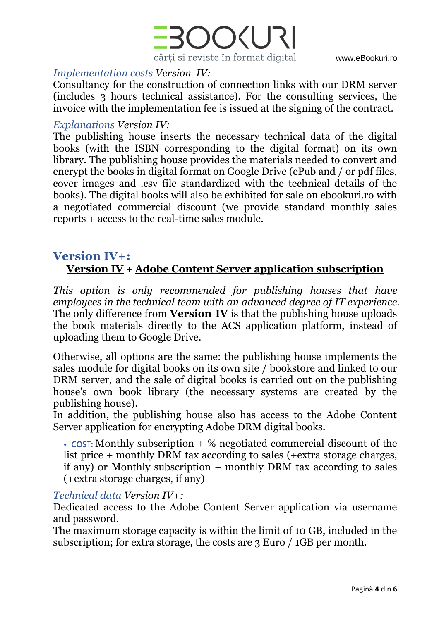

#### *Implementation costs Version IV:*

Consultancy for the construction of connection links with our DRM server (includes 3 hours technical assistance). For the consulting services, the invoice with the implementation fee is issued at the signing of the contract.

#### *Explanations Version IV:*

The publishing house inserts the necessary technical data of the digital books (with the ISBN corresponding to the digital format) on its own library. The publishing house provides the materials needed to convert and encrypt the books in digital format on Google Drive (ePub and / or pdf files, cover images and .csv file standardized with the technical details of the books). The digital books will also be exhibited for sale on ebookuri.ro with a negotiated commercial discount (we provide standard monthly sales reports + access to the real-time sales module.

### **Version IV+:**

# **Version IV** + **Adobe Content Server application subscription**

*This option is only recommended for publishing houses that have employees in the technical team with an advanced degree of IT experience.* The only difference from **Version IV** is that the publishing house uploads the book materials directly to the ACS application platform, instead of uploading them to Google Drive.

Otherwise, all options are the same: the publishing house implements the sales module for digital books on its own site / bookstore and linked to our DRM server, and the sale of digital books is carried out on the publishing house's own book library (the necessary systems are created by the publishing house).

In addition, the publishing house also has access to the Adobe Content Server application for encrypting Adobe DRM digital books.

 $\cdot$  cost: Monthly subscription  $+$  % negotiated commercial discount of the list price + monthly DRM tax according to sales (+extra storage charges, if any) or Monthly subscription + monthly DRM tax according to sales (+extra storage charges, if any)

#### *Technical data Version IV+:*

Dedicated access to the Adobe Content Server application via username and password.

The maximum storage capacity is within the limit of 10 GB, included in the subscription; for extra storage, the costs are 3 Euro / 1GB per month.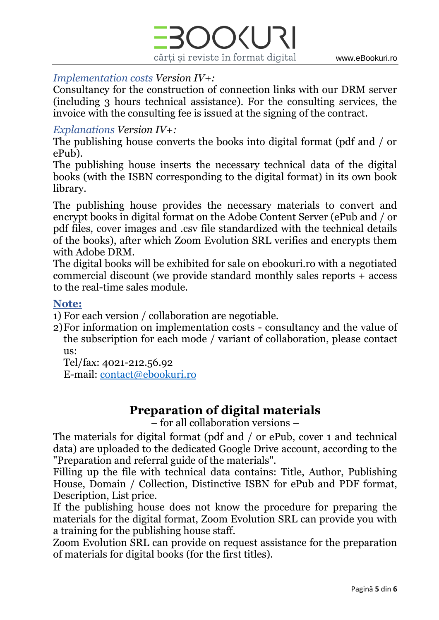



### *Implementation costs Version IV+:*

Consultancy for the construction of connection links with our DRM server (including 3 hours technical assistance). For the consulting services, the invoice with the consulting fee is issued at the signing of the contract.

### *Explanations Version IV+:*

The publishing house converts the books into digital format (pdf and / or ePub).

The publishing house inserts the necessary technical data of the digital books (with the ISBN corresponding to the digital format) in its own book library.

The publishing house provides the necessary materials to convert and encrypt books in digital format on the Adobe Content Server (ePub and / or pdf files, cover images and .csv file standardized with the technical details of the books), after which Zoom Evolution SRL verifies and encrypts them with Adobe DRM.

The digital books will be exhibited for sale on ebookuri.ro with a negotiated commercial discount (we provide standard monthly sales reports + access to the real-time sales module.

### **Note:**

1) For each version / collaboration are negotiable.

2)For information on implementation costs - consultancy and the value of the subscription for each mode / variant of collaboration, please contact us:

Tel/fax: 4021-212.56.92 E-mail: [contact@ebookuri.ro](mailto:contact@ebookuri.ro)

# **Preparation of digital materials**

– for all collaboration versions –

The materials for digital format (pdf and / or ePub, cover 1 and technical data) are uploaded to the dedicated Google Drive account, according to the "Preparation and referral guide of the materials".

Filling up the file with technical data contains: Title, Author, Publishing House, Domain / Collection, Distinctive ISBN for ePub and PDF format, Description, List price.

If the publishing house does not know the procedure for preparing the materials for the digital format, Zoom Evolution SRL can provide you with a training for the publishing house staff.

Zoom Evolution SRL can provide on request assistance for the preparation of materials for digital books (for the first titles).